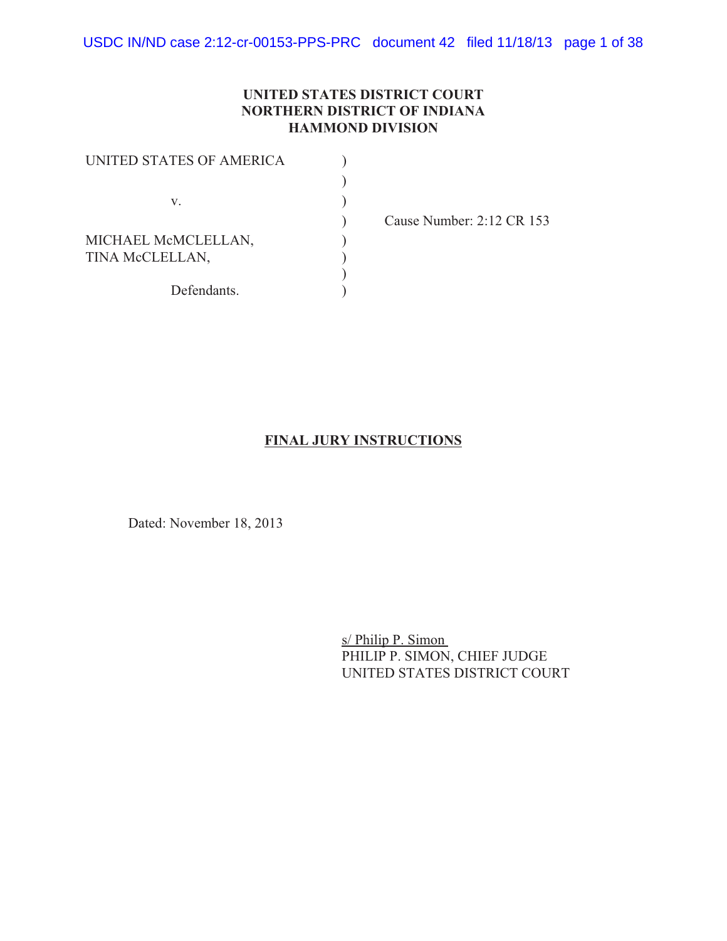### **UNITED STATES DISTRICT COURT NORTHERN DISTRICT OF INDIANA HAMMOND DIVISION**

| UNITED STATES OF AMERICA |  |
|--------------------------|--|
|                          |  |
| V.                       |  |
|                          |  |
| MICHAEL McMCLELLAN,      |  |
| TINA McCLELLAN,          |  |
|                          |  |
| Defendants.              |  |

) Cause Number: 2:12 CR 153

### **FINAL JURY INSTRUCTIONS**

Dated: November 18, 2013

s/ Philip P. Simon PHILIP P. SIMON, CHIEF JUDGE UNITED STATES DISTRICT COURT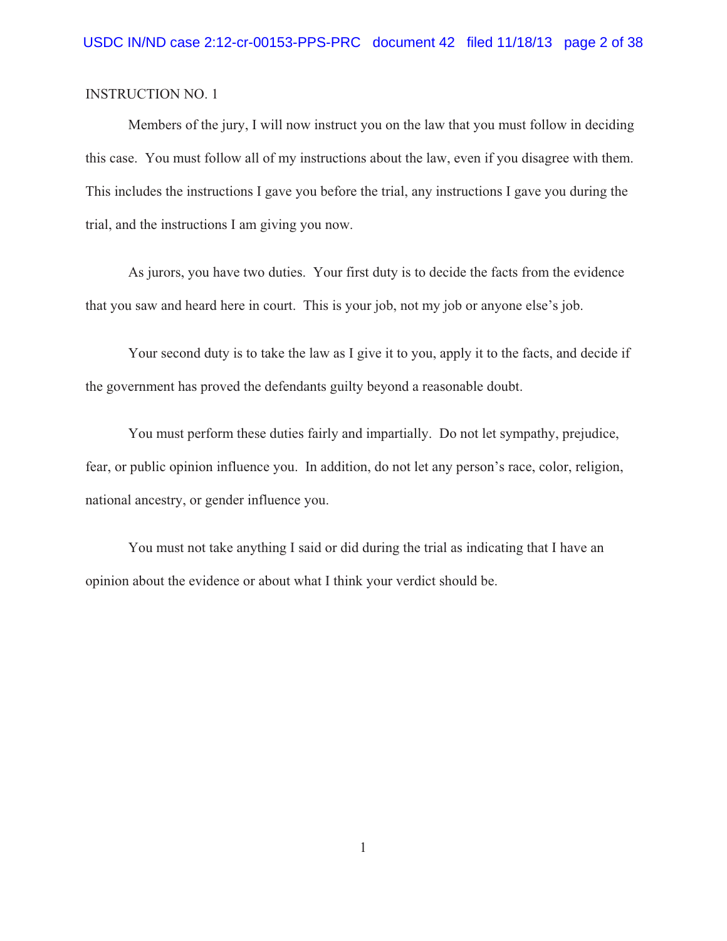Members of the jury, I will now instruct you on the law that you must follow in deciding this case. You must follow all of my instructions about the law, even if you disagree with them. This includes the instructions I gave you before the trial, any instructions I gave you during the trial, and the instructions I am giving you now.

As jurors, you have two duties. Your first duty is to decide the facts from the evidence that you saw and heard here in court. This is your job, not my job or anyone else's job.

Your second duty is to take the law as I give it to you, apply it to the facts, and decide if the government has proved the defendants guilty beyond a reasonable doubt.

You must perform these duties fairly and impartially. Do not let sympathy, prejudice, fear, or public opinion influence you. In addition, do not let any person's race, color, religion, national ancestry, or gender influence you.

You must not take anything I said or did during the trial as indicating that I have an opinion about the evidence or about what I think your verdict should be.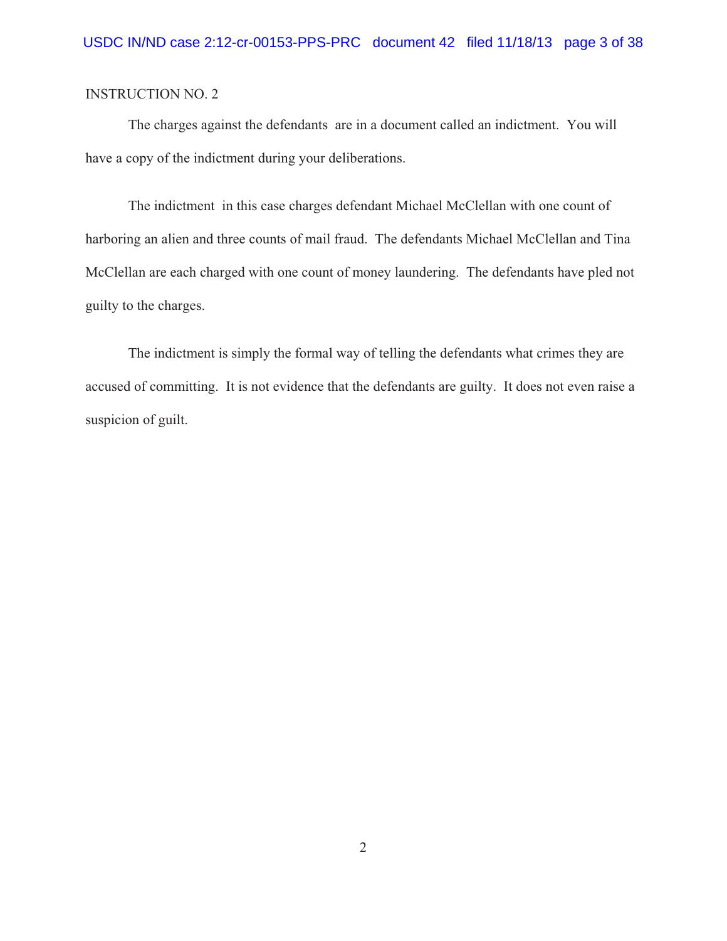The charges against the defendants are in a document called an indictment. You will have a copy of the indictment during your deliberations.

The indictment in this case charges defendant Michael McClellan with one count of harboring an alien and three counts of mail fraud. The defendants Michael McClellan and Tina McClellan are each charged with one count of money laundering. The defendants have pled not guilty to the charges.

The indictment is simply the formal way of telling the defendants what crimes they are accused of committing. It is not evidence that the defendants are guilty. It does not even raise a suspicion of guilt.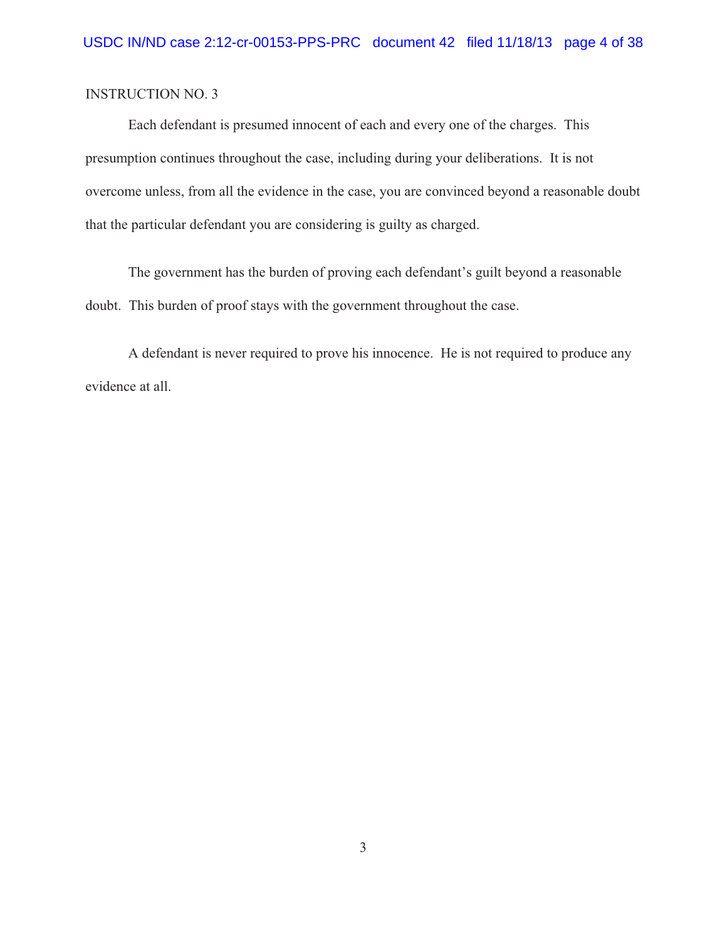Each defendant is presumed innocent of each and every one of the charges. This presumption continues throughout the case, including during your deliberations. It is not overcome unless, from all the evidence in the case, you are convinced beyond a reasonable doubt that the particular defendant you are considering is guilty as charged.

The government has the burden of proving each defendant's guilt beyond a reasonable doubt. This burden of proof stays with the government throughout the case.

A defendant is never required to prove his innocence. He is not required to produce any evidence at all.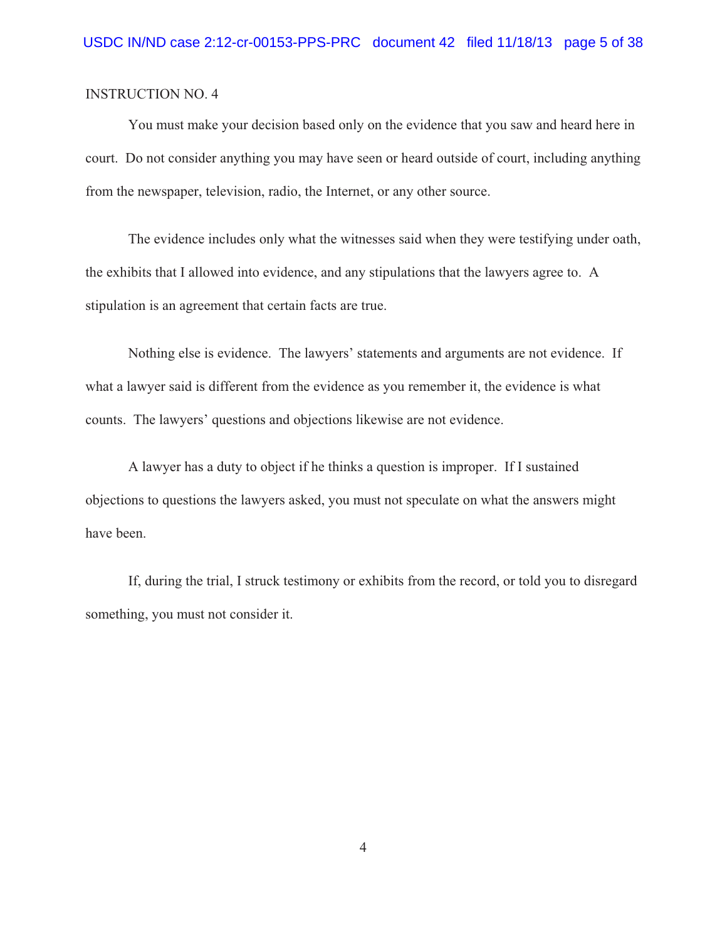You must make your decision based only on the evidence that you saw and heard here in court. Do not consider anything you may have seen or heard outside of court, including anything from the newspaper, television, radio, the Internet, or any other source.

The evidence includes only what the witnesses said when they were testifying under oath, the exhibits that I allowed into evidence, and any stipulations that the lawyers agree to. A stipulation is an agreement that certain facts are true.

Nothing else is evidence. The lawyers' statements and arguments are not evidence. If what a lawyer said is different from the evidence as you remember it, the evidence is what counts. The lawyers' questions and objections likewise are not evidence.

A lawyer has a duty to object if he thinks a question is improper. If I sustained objections to questions the lawyers asked, you must not speculate on what the answers might have been.

If, during the trial, I struck testimony or exhibits from the record, or told you to disregard something, you must not consider it.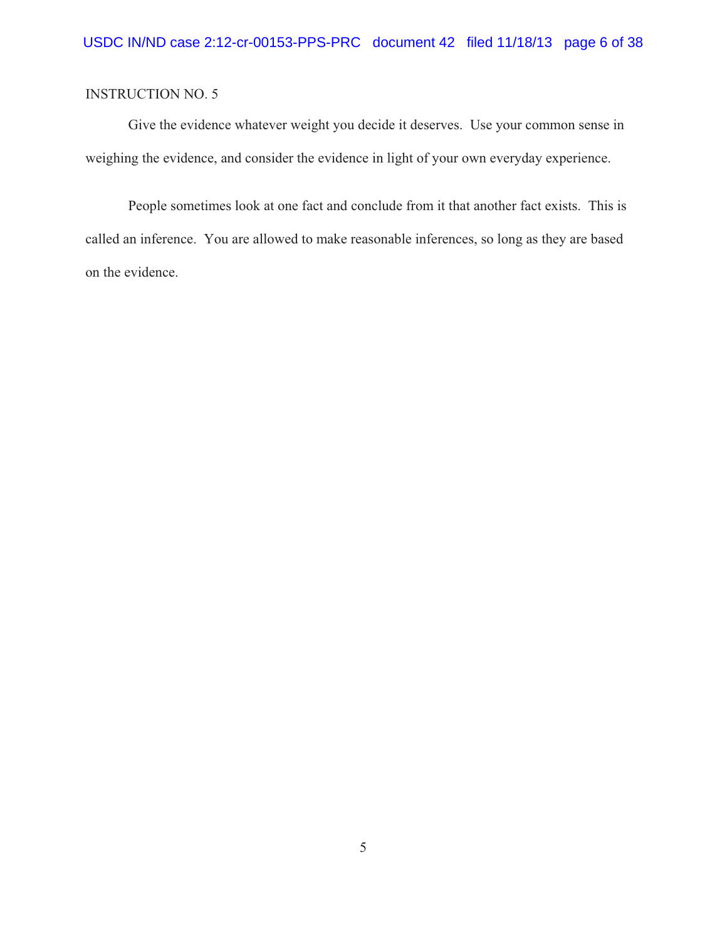Give the evidence whatever weight you decide it deserves. Use your common sense in weighing the evidence, and consider the evidence in light of your own everyday experience.

People sometimes look at one fact and conclude from it that another fact exists. This is called an inference. You are allowed to make reasonable inferences, so long as they are based on the evidence.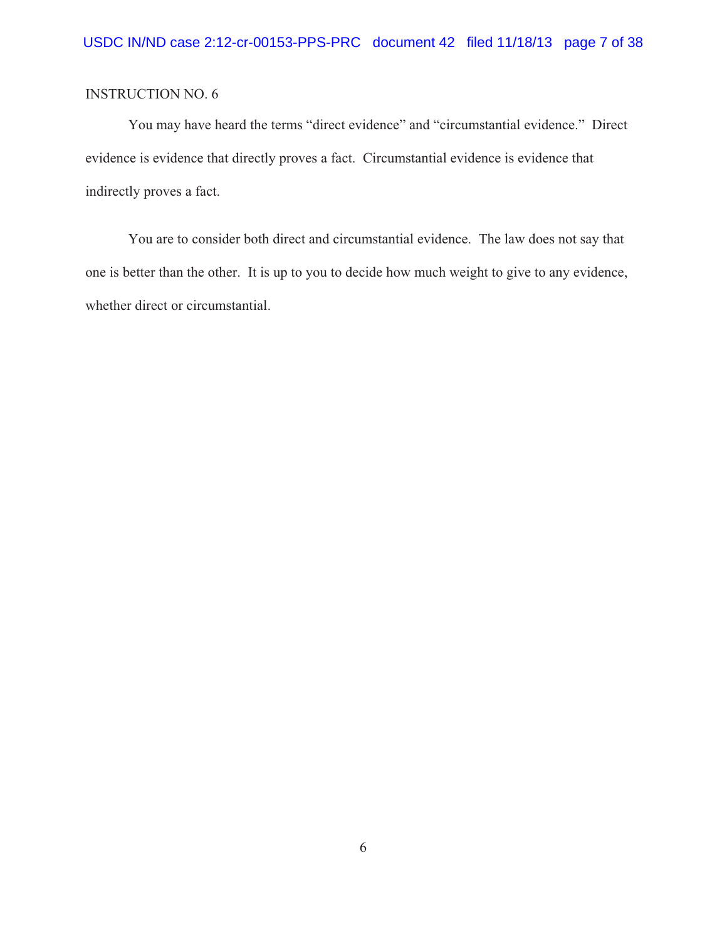You may have heard the terms "direct evidence" and "circumstantial evidence." Direct evidence is evidence that directly proves a fact. Circumstantial evidence is evidence that indirectly proves a fact.

You are to consider both direct and circumstantial evidence. The law does not say that one is better than the other. It is up to you to decide how much weight to give to any evidence, whether direct or circumstantial.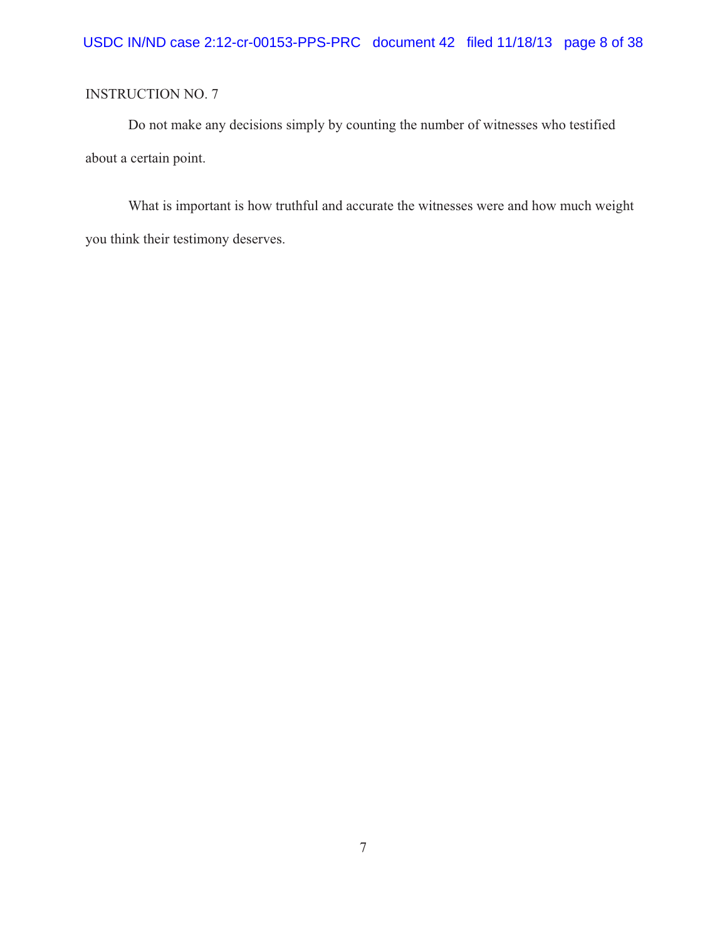Do not make any decisions simply by counting the number of witnesses who testified about a certain point.

What is important is how truthful and accurate the witnesses were and how much weight you think their testimony deserves.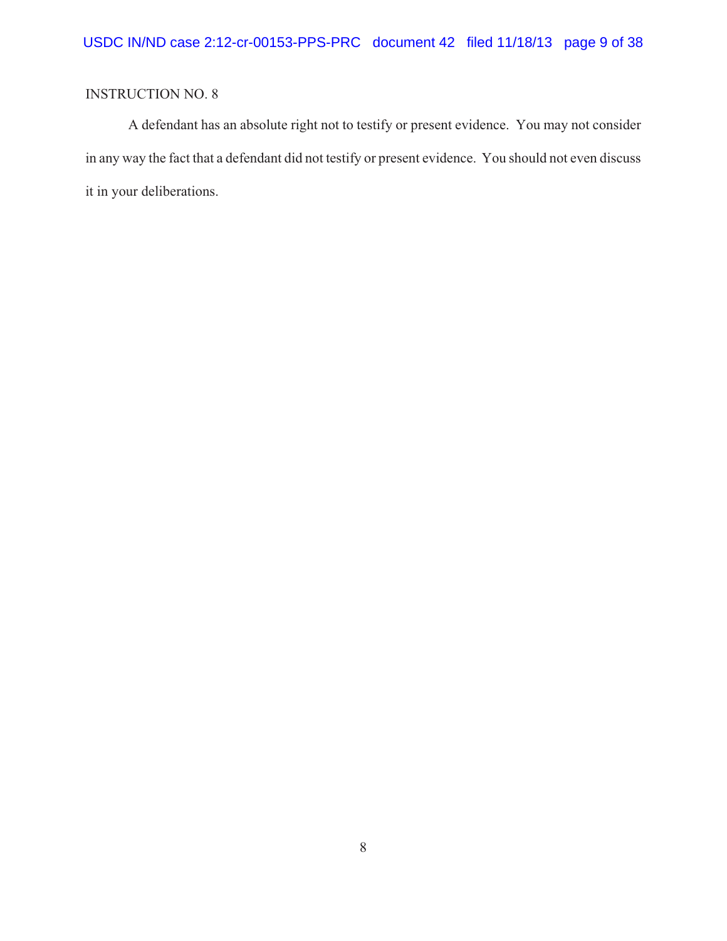A defendant has an absolute right not to testify or present evidence. You may not consider in any way the fact that a defendant did not testify or present evidence. You should not even discuss it in your deliberations.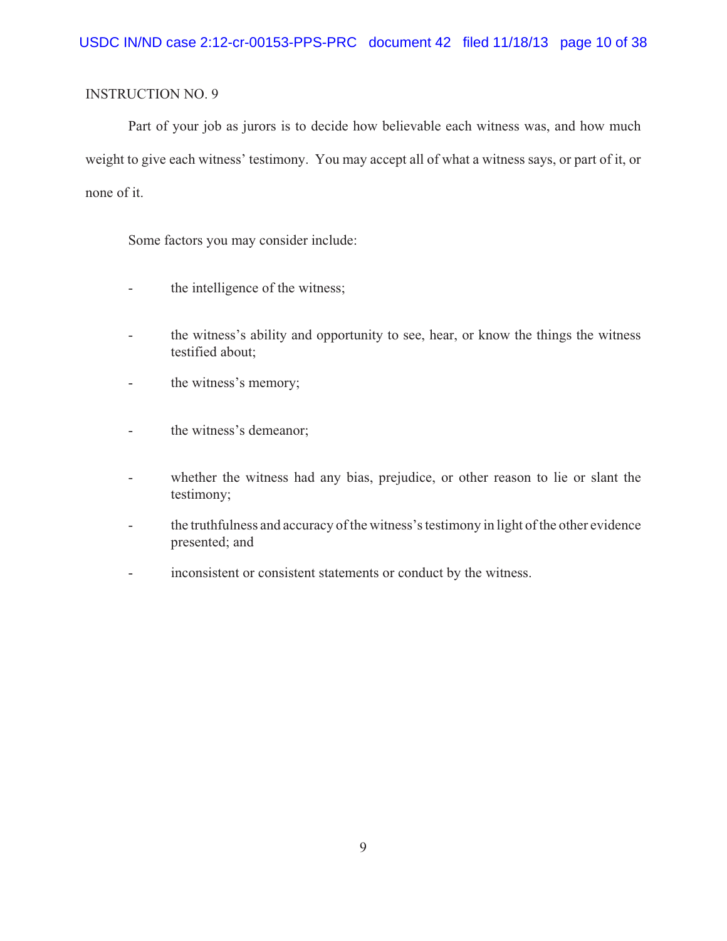Part of your job as jurors is to decide how believable each witness was, and how much weight to give each witness' testimony. You may accept all of what a witness says, or part of it, or none of it.

Some factors you may consider include:

- the intelligence of the witness;
- the witness's ability and opportunity to see, hear, or know the things the witness testified about;
- the witness's memory;
- the witness's demeanor;
- whether the witness had any bias, prejudice, or other reason to lie or slant the testimony;
- the truthfulness and accuracy of the witness's testimony in light of the other evidence presented; and
- inconsistent or consistent statements or conduct by the witness.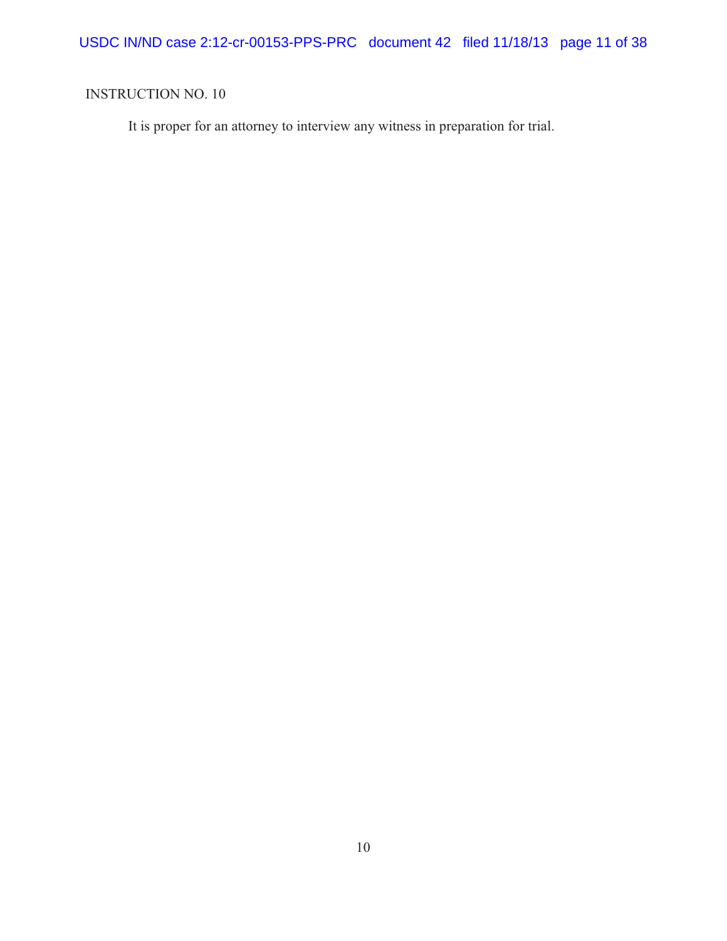USDC IN/ND case 2:12-cr-00153-PPS-PRC document 42 filed 11/18/13 page 11 of 38

# INSTRUCTION NO. 10

It is proper for an attorney to interview any witness in preparation for trial.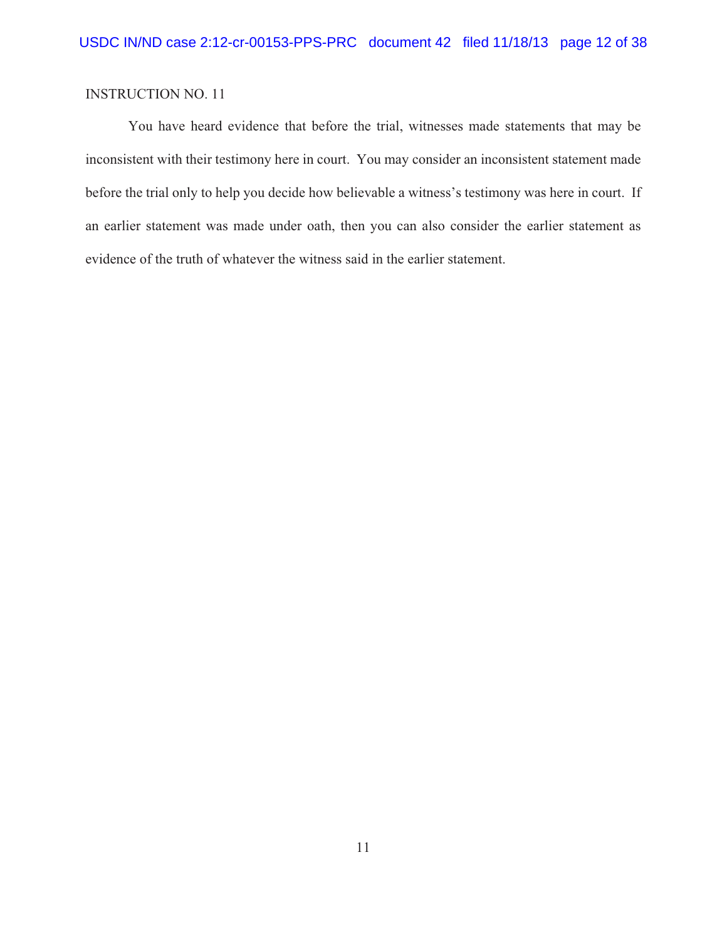You have heard evidence that before the trial, witnesses made statements that may be inconsistent with their testimony here in court. You may consider an inconsistent statement made before the trial only to help you decide how believable a witness's testimony was here in court. If an earlier statement was made under oath, then you can also consider the earlier statement as evidence of the truth of whatever the witness said in the earlier statement.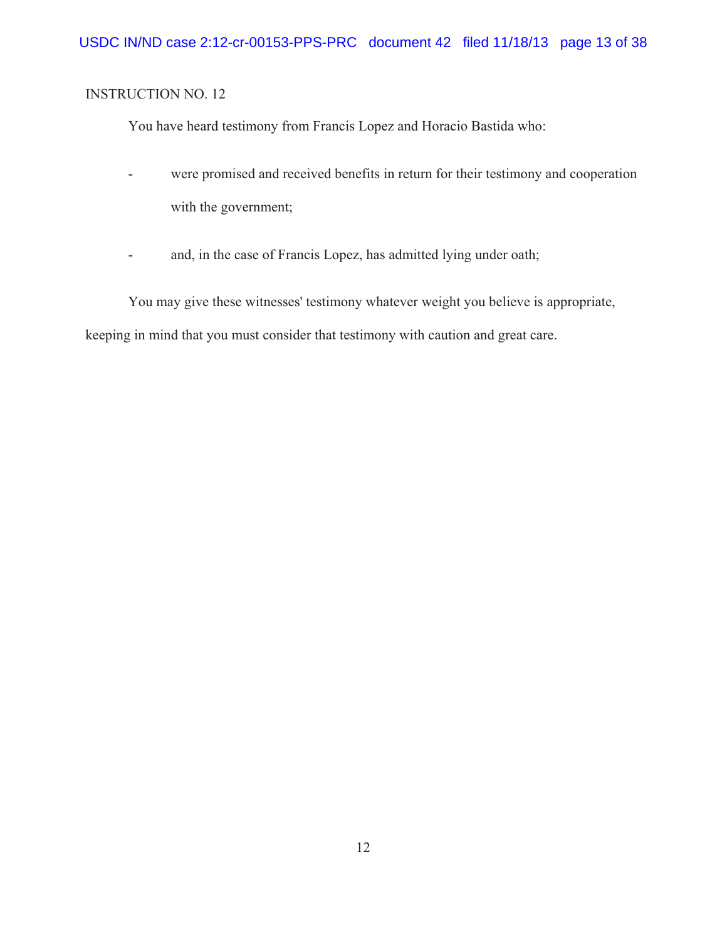You have heard testimony from Francis Lopez and Horacio Bastida who:

- were promised and received benefits in return for their testimony and cooperation with the government;
- and, in the case of Francis Lopez, has admitted lying under oath;

You may give these witnesses' testimony whatever weight you believe is appropriate, keeping in mind that you must consider that testimony with caution and great care.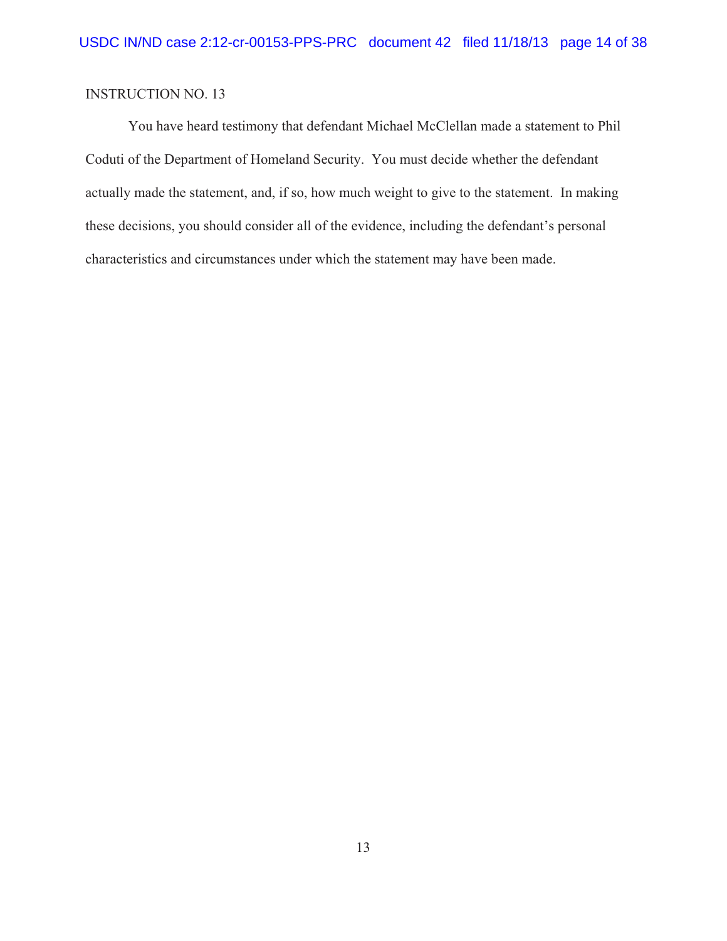You have heard testimony that defendant Michael McClellan made a statement to Phil Coduti of the Department of Homeland Security. You must decide whether the defendant actually made the statement, and, if so, how much weight to give to the statement. In making these decisions, you should consider all of the evidence, including the defendant's personal characteristics and circumstances under which the statement may have been made.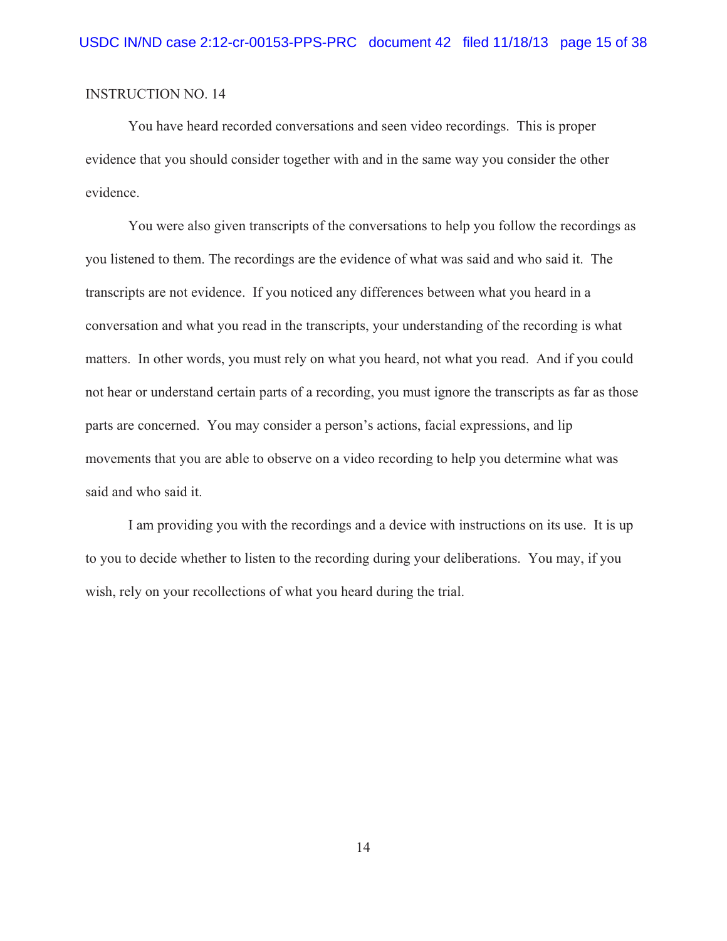You have heard recorded conversations and seen video recordings. This is proper evidence that you should consider together with and in the same way you consider the other evidence.

You were also given transcripts of the conversations to help you follow the recordings as you listened to them. The recordings are the evidence of what was said and who said it. The transcripts are not evidence. If you noticed any differences between what you heard in a conversation and what you read in the transcripts, your understanding of the recording is what matters. In other words, you must rely on what you heard, not what you read. And if you could not hear or understand certain parts of a recording, you must ignore the transcripts as far as those parts are concerned. You may consider a person's actions, facial expressions, and lip movements that you are able to observe on a video recording to help you determine what was said and who said it.

I am providing you with the recordings and a device with instructions on its use. It is up to you to decide whether to listen to the recording during your deliberations. You may, if you wish, rely on your recollections of what you heard during the trial.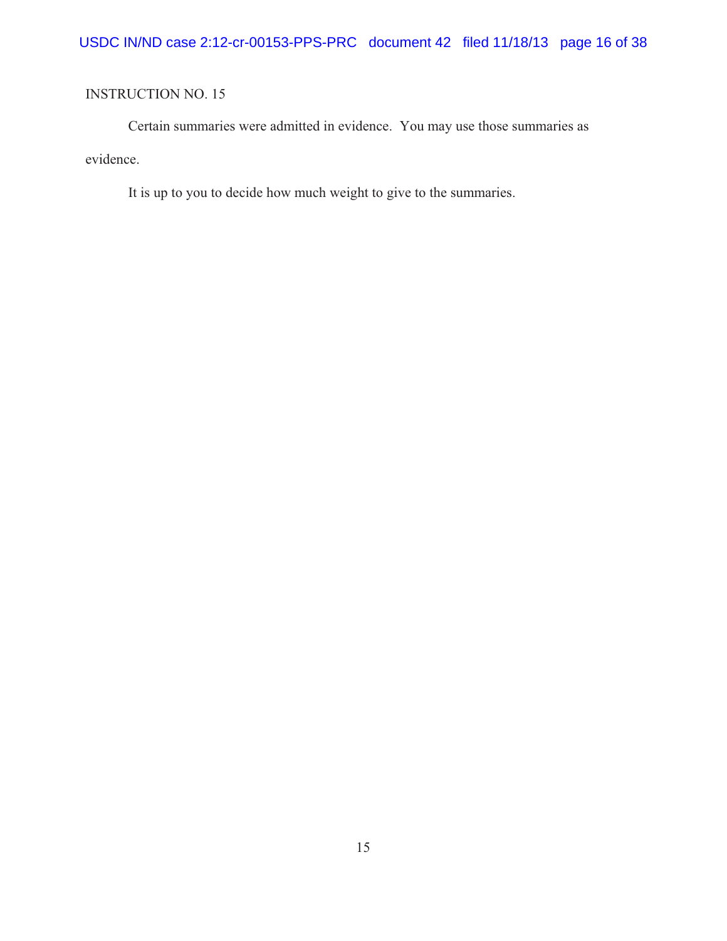Certain summaries were admitted in evidence. You may use those summaries as evidence.

It is up to you to decide how much weight to give to the summaries.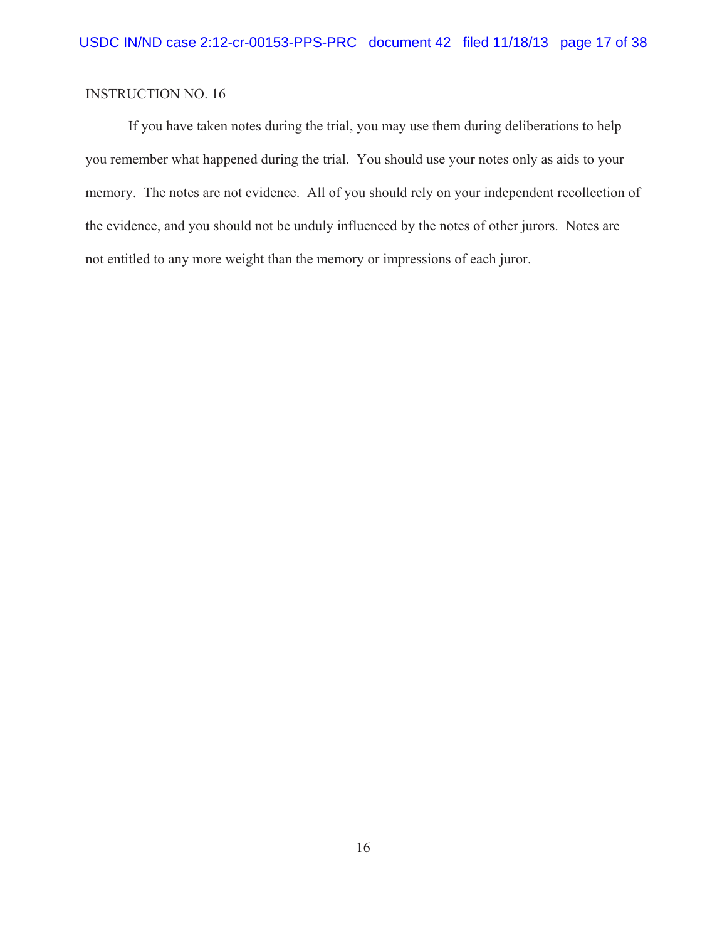If you have taken notes during the trial, you may use them during deliberations to help you remember what happened during the trial. You should use your notes only as aids to your memory. The notes are not evidence. All of you should rely on your independent recollection of the evidence, and you should not be unduly influenced by the notes of other jurors. Notes are not entitled to any more weight than the memory or impressions of each juror.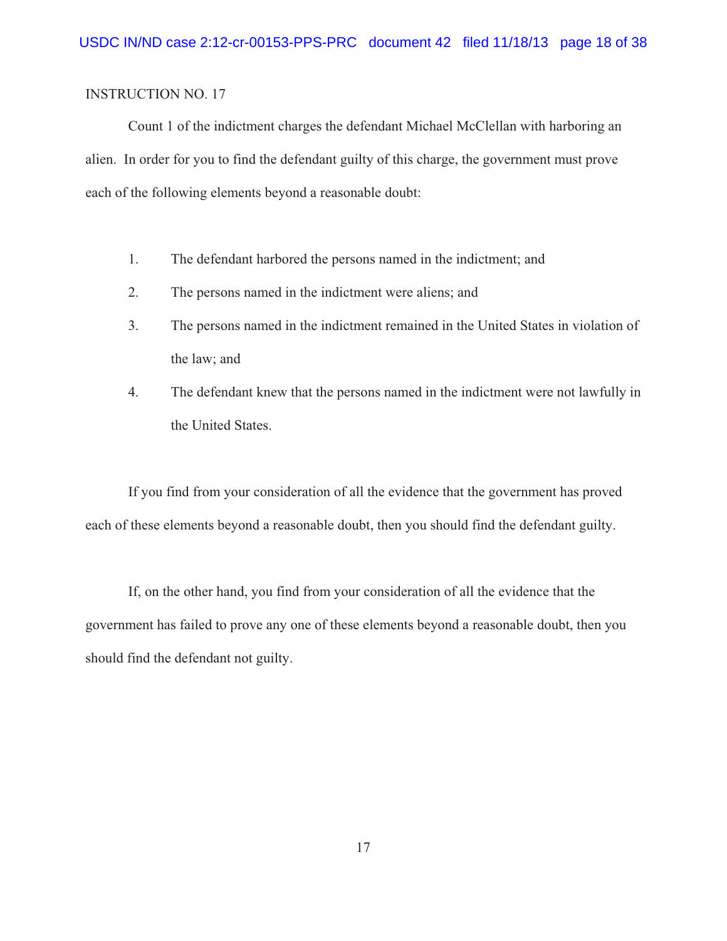Count 1 of the indictment charges the defendant Michael McClellan with harboring an alien. In order for you to find the defendant guilty of this charge, the government must prove each of the following elements beyond a reasonable doubt:

- 1. The defendant harbored the persons named in the indictment; and
- 2. The persons named in the indictment were aliens; and
- 3. The persons named in the indictment remained in the United States in violation of the law; and
- 4. The defendant knew that the persons named in the indictment were not lawfully in the United States.

If you find from your consideration of all the evidence that the government has proved each of these elements beyond a reasonable doubt, then you should find the defendant guilty.

If, on the other hand, you find from your consideration of all the evidence that the government has failed to prove any one of these elements beyond a reasonable doubt, then you should find the defendant not guilty.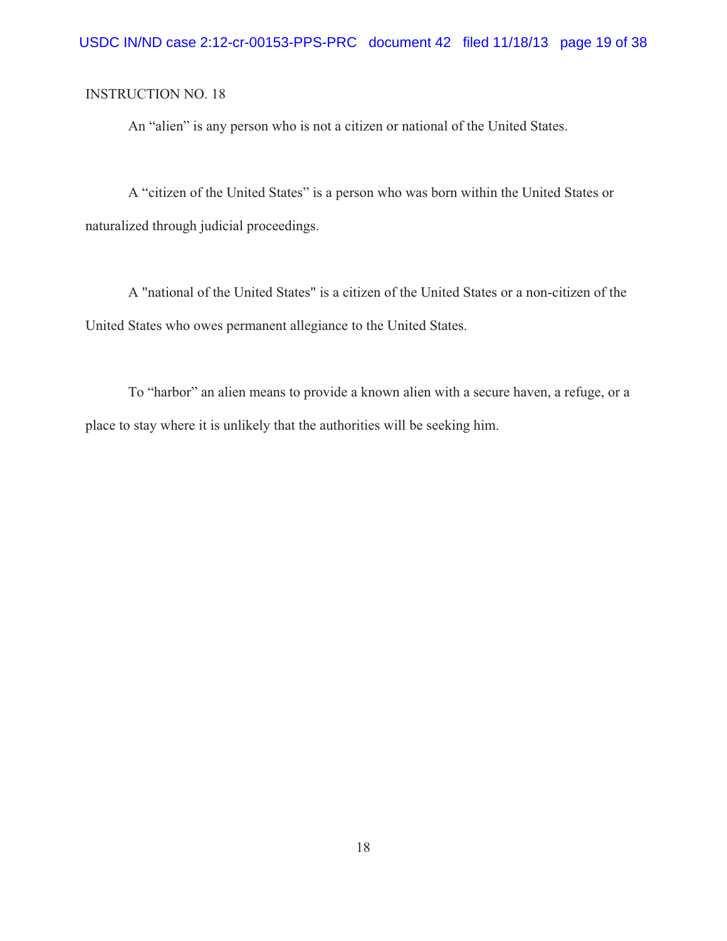An "alien" is any person who is not a citizen or national of the United States.

A "citizen of the United States" is a person who was born within the United States or naturalized through judicial proceedings.

A "national of the United States" is a citizen of the United States or a non-citizen of the United States who owes permanent allegiance to the United States.

To "harbor" an alien means to provide a known alien with a secure haven, a refuge, or a place to stay where it is unlikely that the authorities will be seeking him.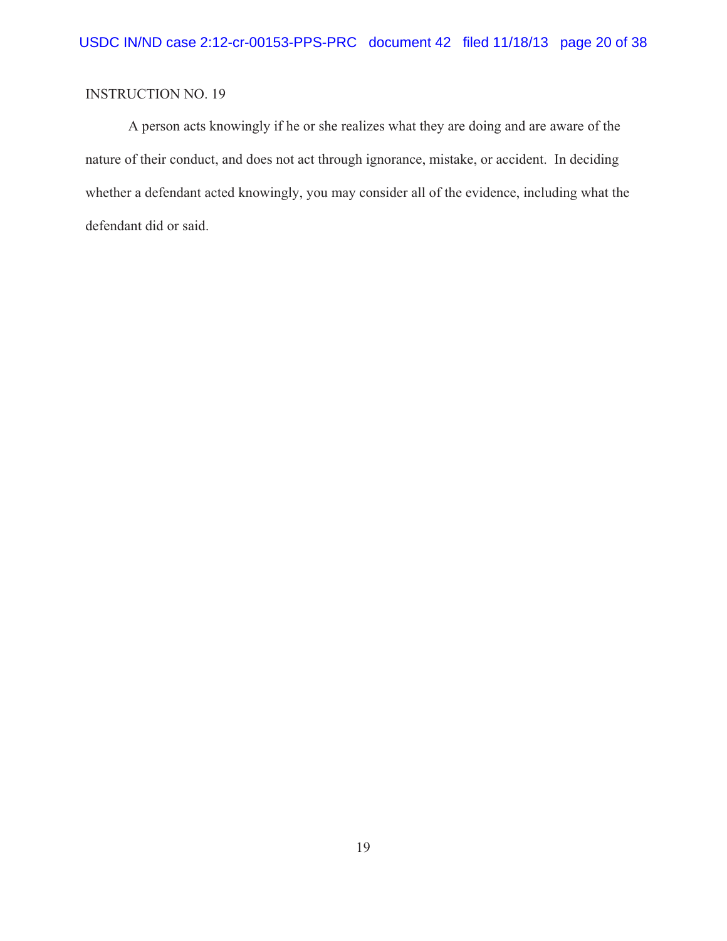A person acts knowingly if he or she realizes what they are doing and are aware of the nature of their conduct, and does not act through ignorance, mistake, or accident. In deciding whether a defendant acted knowingly, you may consider all of the evidence, including what the defendant did or said.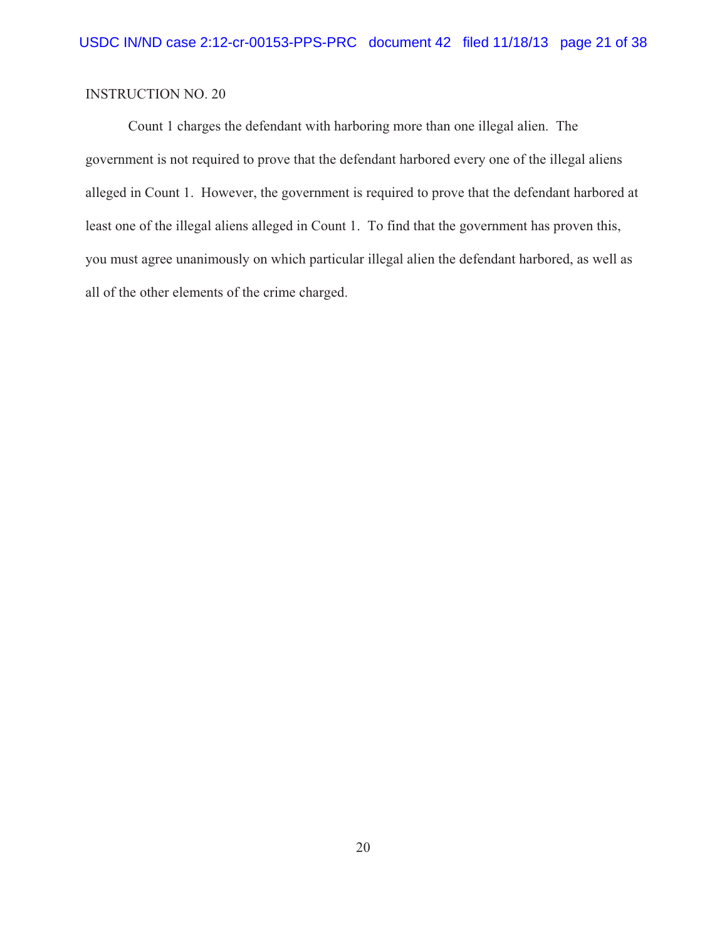Count 1 charges the defendant with harboring more than one illegal alien. The government is not required to prove that the defendant harbored every one of the illegal aliens alleged in Count 1. However, the government is required to prove that the defendant harbored at least one of the illegal aliens alleged in Count 1. To find that the government has proven this, you must agree unanimously on which particular illegal alien the defendant harbored, as well as all of the other elements of the crime charged.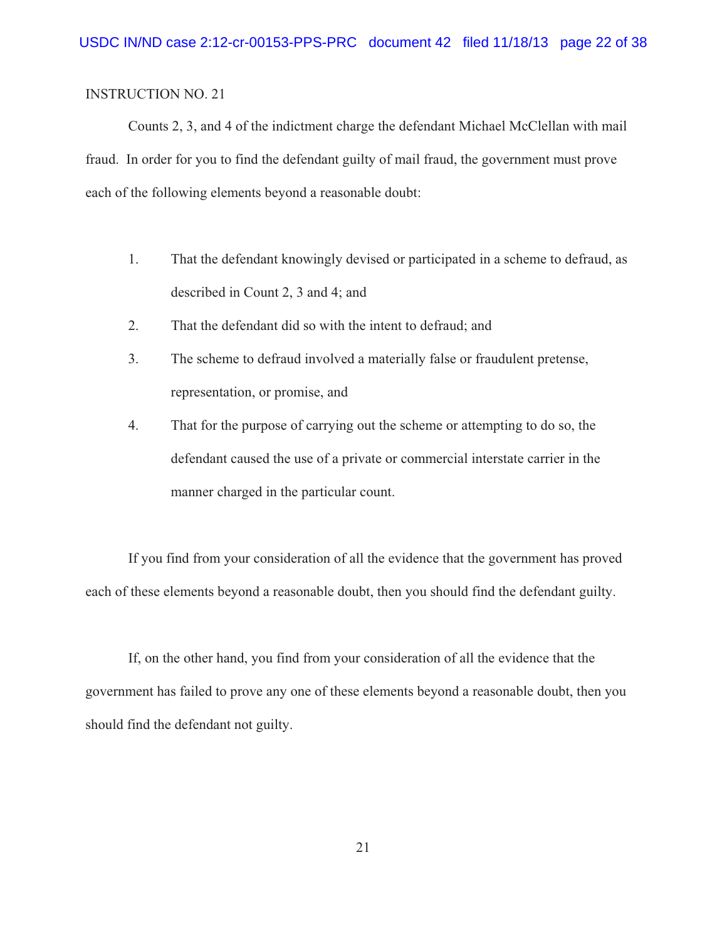Counts 2, 3, and 4 of the indictment charge the defendant Michael McClellan with mail fraud. In order for you to find the defendant guilty of mail fraud, the government must prove each of the following elements beyond a reasonable doubt:

- 1. That the defendant knowingly devised or participated in a scheme to defraud, as described in Count 2, 3 and 4; and
- 2. That the defendant did so with the intent to defraud; and
- 3. The scheme to defraud involved a materially false or fraudulent pretense, representation, or promise, and
- 4. That for the purpose of carrying out the scheme or attempting to do so, the defendant caused the use of a private or commercial interstate carrier in the manner charged in the particular count.

If you find from your consideration of all the evidence that the government has proved each of these elements beyond a reasonable doubt, then you should find the defendant guilty.

If, on the other hand, you find from your consideration of all the evidence that the government has failed to prove any one of these elements beyond a reasonable doubt, then you should find the defendant not guilty.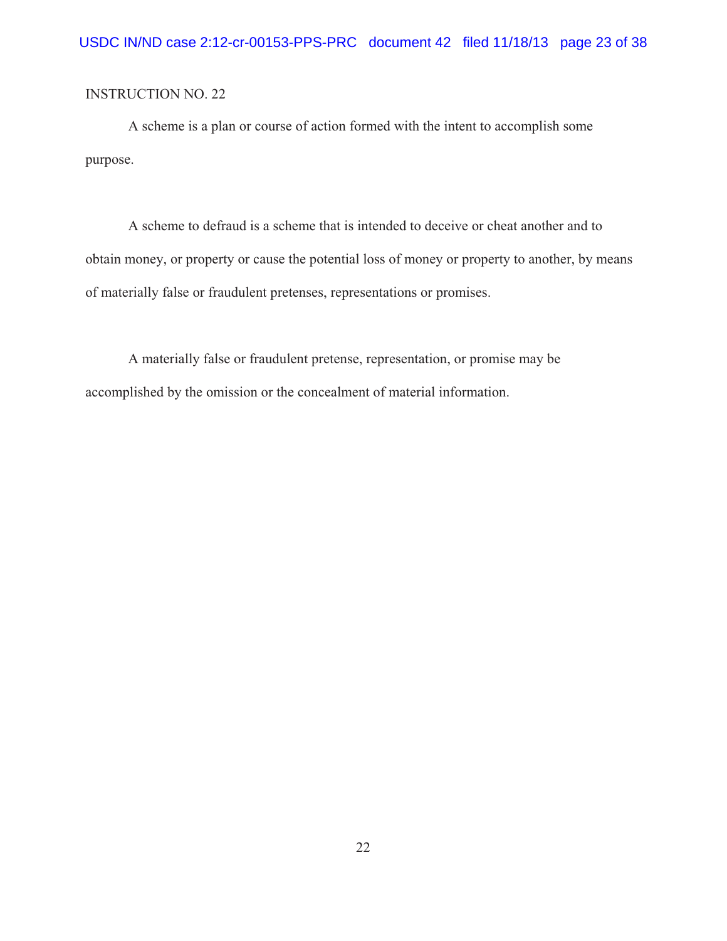A scheme is a plan or course of action formed with the intent to accomplish some purpose.

A scheme to defraud is a scheme that is intended to deceive or cheat another and to obtain money, or property or cause the potential loss of money or property to another, by means of materially false or fraudulent pretenses, representations or promises.

A materially false or fraudulent pretense, representation, or promise may be accomplished by the omission or the concealment of material information.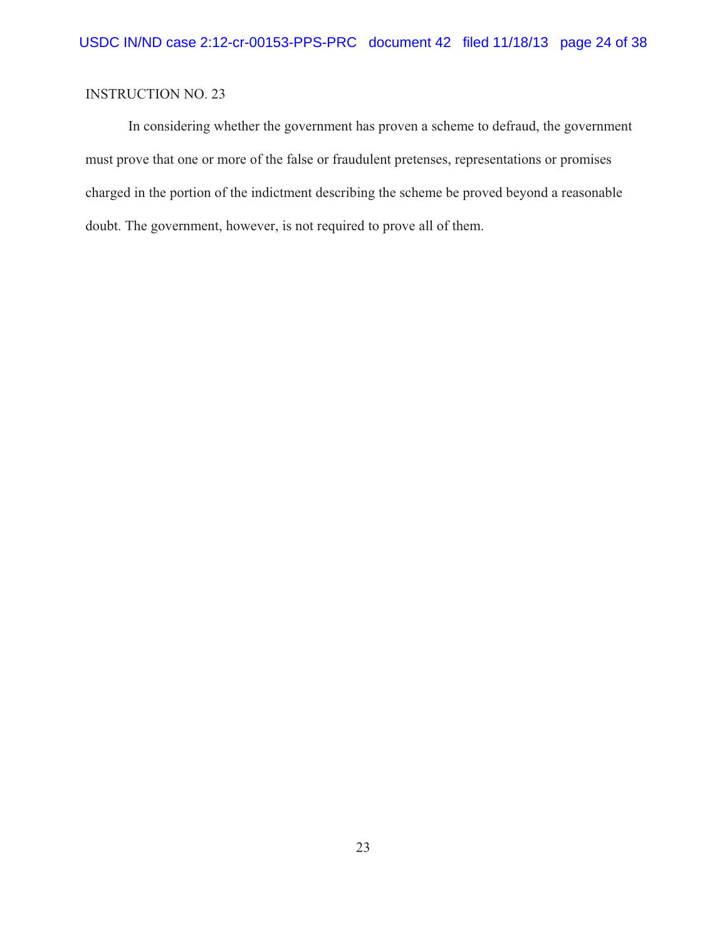In considering whether the government has proven a scheme to defraud, the government must prove that one or more of the false or fraudulent pretenses, representations or promises charged in the portion of the indictment describing the scheme be proved beyond a reasonable doubt. The government, however, is not required to prove all of them.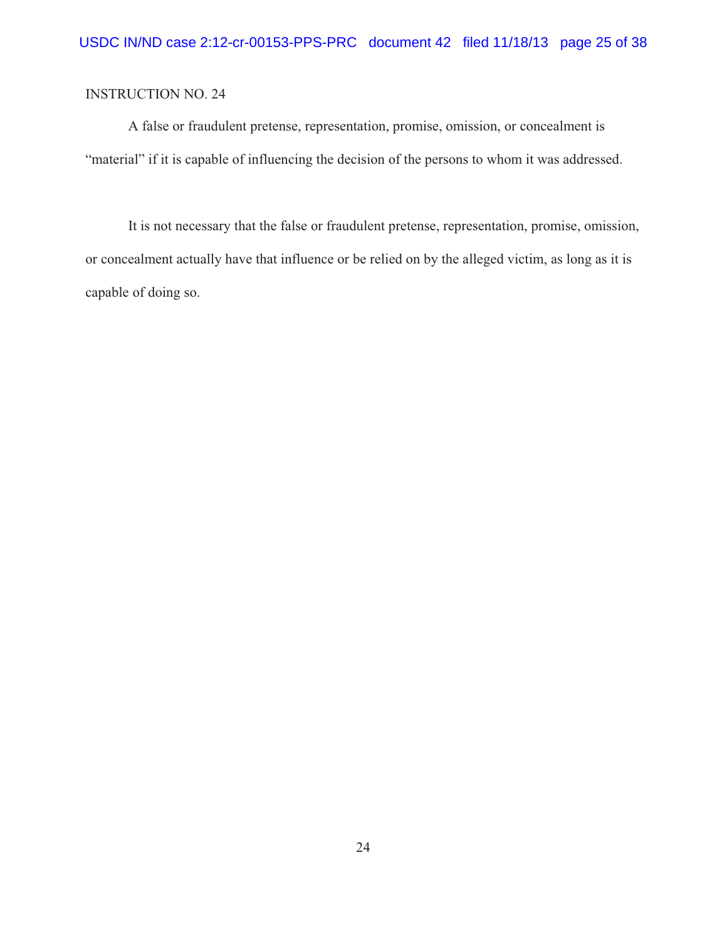A false or fraudulent pretense, representation, promise, omission, or concealment is "material" if it is capable of influencing the decision of the persons to whom it was addressed.

It is not necessary that the false or fraudulent pretense, representation, promise, omission, or concealment actually have that influence or be relied on by the alleged victim, as long as it is capable of doing so.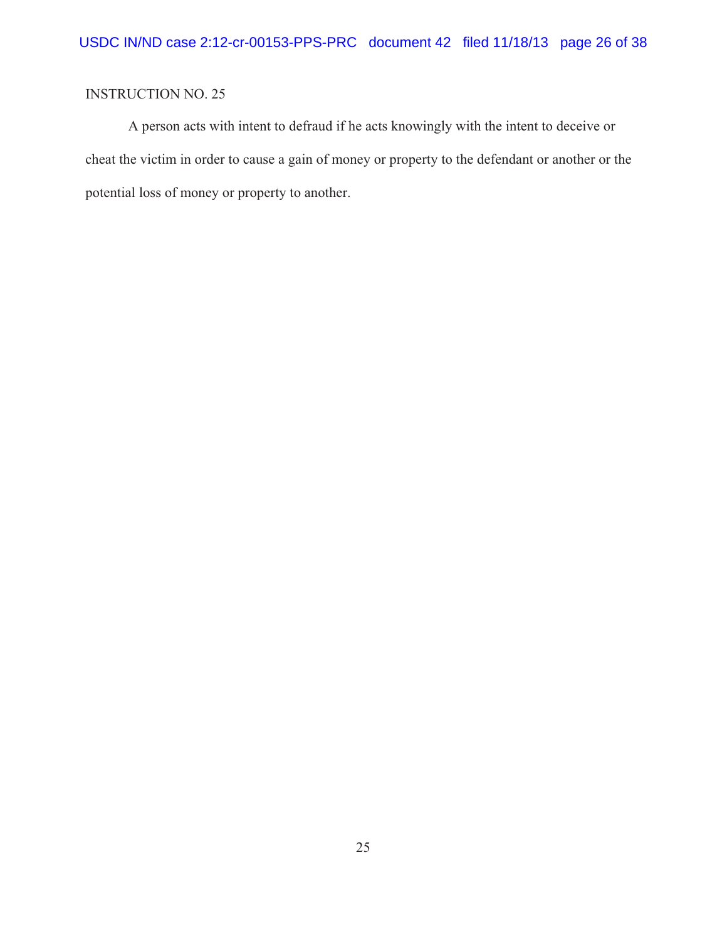A person acts with intent to defraud if he acts knowingly with the intent to deceive or cheat the victim in order to cause a gain of money or property to the defendant or another or the potential loss of money or property to another.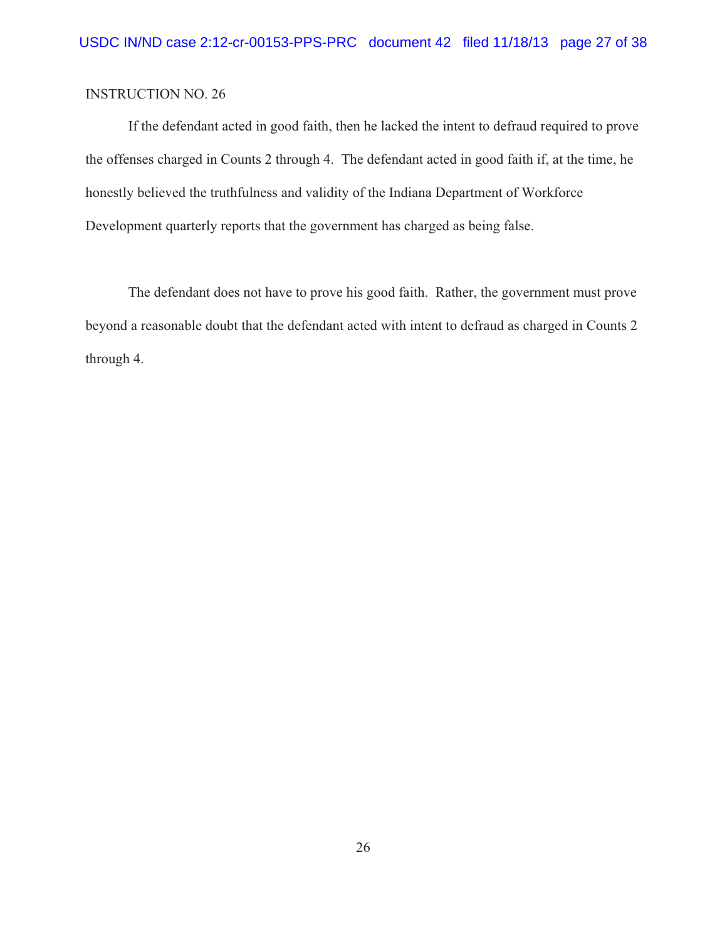If the defendant acted in good faith, then he lacked the intent to defraud required to prove the offenses charged in Counts 2 through 4. The defendant acted in good faith if, at the time, he honestly believed the truthfulness and validity of the Indiana Department of Workforce Development quarterly reports that the government has charged as being false.

The defendant does not have to prove his good faith. Rather, the government must prove beyond a reasonable doubt that the defendant acted with intent to defraud as charged in Counts 2 through 4.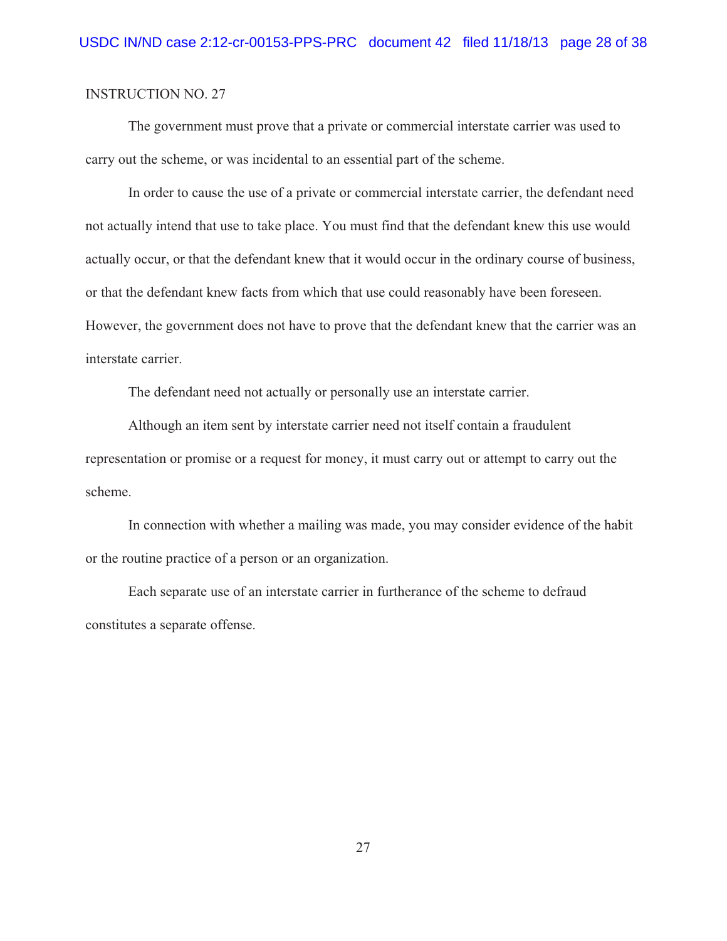The government must prove that a private or commercial interstate carrier was used to carry out the scheme, or was incidental to an essential part of the scheme.

In order to cause the use of a private or commercial interstate carrier, the defendant need not actually intend that use to take place. You must find that the defendant knew this use would actually occur, or that the defendant knew that it would occur in the ordinary course of business, or that the defendant knew facts from which that use could reasonably have been foreseen. However, the government does not have to prove that the defendant knew that the carrier was an interstate carrier.

The defendant need not actually or personally use an interstate carrier.

Although an item sent by interstate carrier need not itself contain a fraudulent representation or promise or a request for money, it must carry out or attempt to carry out the scheme.

In connection with whether a mailing was made, you may consider evidence of the habit or the routine practice of a person or an organization.

Each separate use of an interstate carrier in furtherance of the scheme to defraud constitutes a separate offense.

27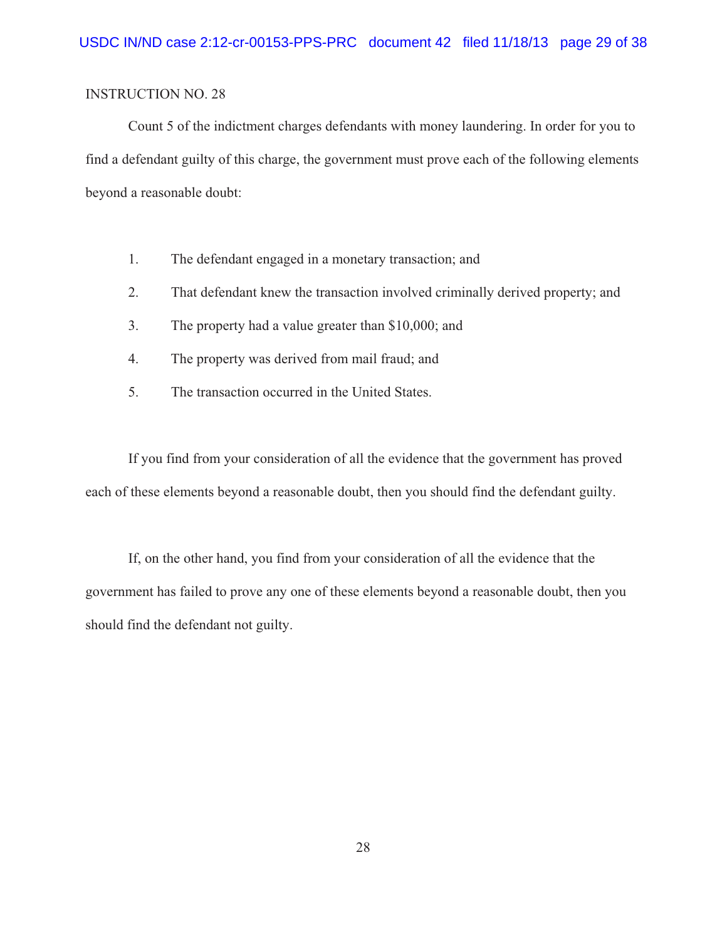Count 5 of the indictment charges defendants with money laundering. In order for you to find a defendant guilty of this charge, the government must prove each of the following elements beyond a reasonable doubt:

- 1. The defendant engaged in a monetary transaction; and
- 2. That defendant knew the transaction involved criminally derived property; and
- 3. The property had a value greater than \$10,000; and
- 4. The property was derived from mail fraud; and
- 5. The transaction occurred in the United States.

If you find from your consideration of all the evidence that the government has proved each of these elements beyond a reasonable doubt, then you should find the defendant guilty.

If, on the other hand, you find from your consideration of all the evidence that the government has failed to prove any one of these elements beyond a reasonable doubt, then you should find the defendant not guilty.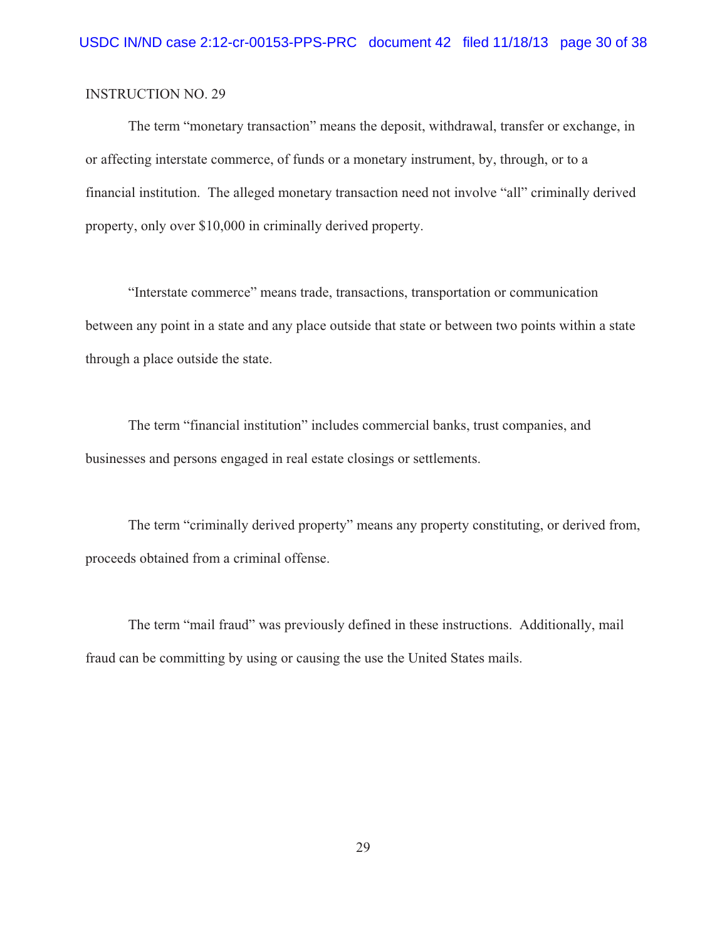The term "monetary transaction" means the deposit, withdrawal, transfer or exchange, in or affecting interstate commerce, of funds or a monetary instrument, by, through, or to a financial institution. The alleged monetary transaction need not involve "all" criminally derived property, only over \$10,000 in criminally derived property.

"Interstate commerce" means trade, transactions, transportation or communication between any point in a state and any place outside that state or between two points within a state through a place outside the state.

The term "financial institution" includes commercial banks, trust companies, and businesses and persons engaged in real estate closings or settlements.

The term "criminally derived property" means any property constituting, or derived from, proceeds obtained from a criminal offense.

The term "mail fraud" was previously defined in these instructions. Additionally, mail fraud can be committing by using or causing the use the United States mails.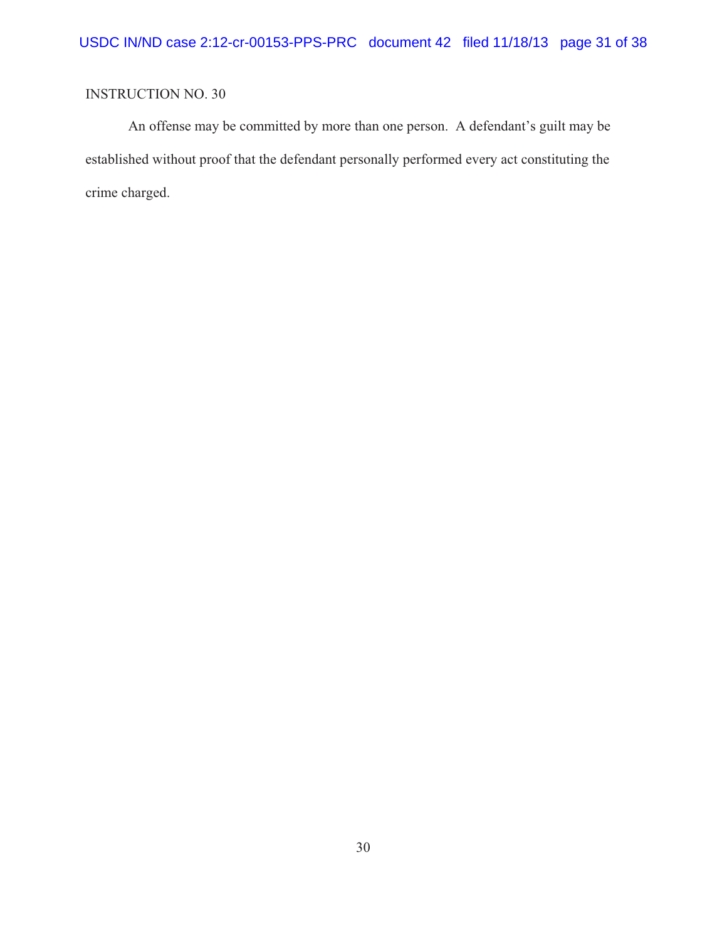An offense may be committed by more than one person. A defendant's guilt may be established without proof that the defendant personally performed every act constituting the crime charged.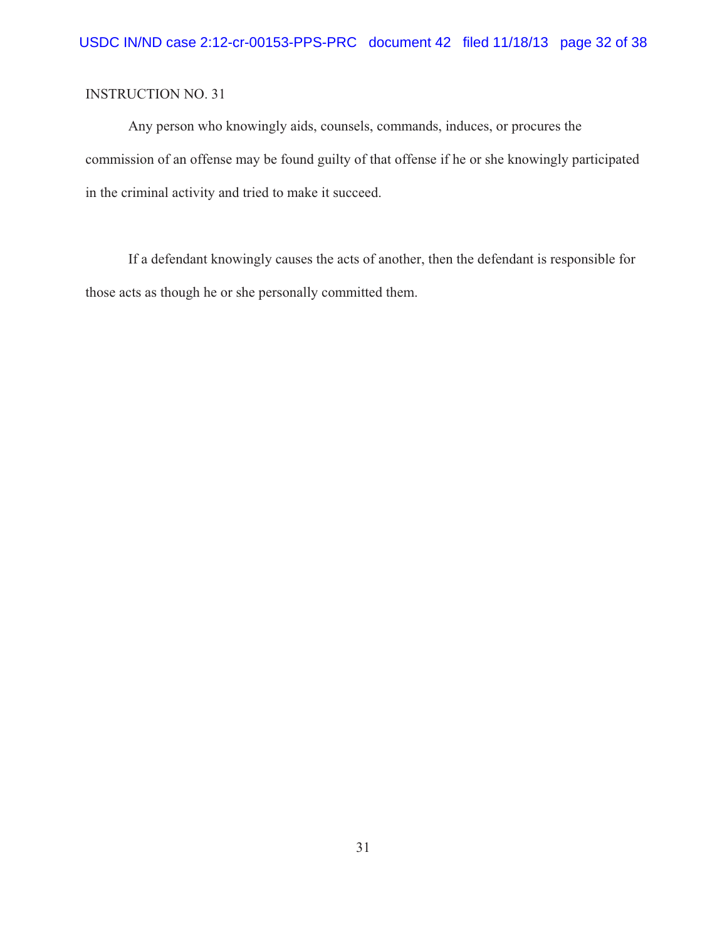Any person who knowingly aids, counsels, commands, induces, or procures the commission of an offense may be found guilty of that offense if he or she knowingly participated in the criminal activity and tried to make it succeed.

If a defendant knowingly causes the acts of another, then the defendant is responsible for those acts as though he or she personally committed them.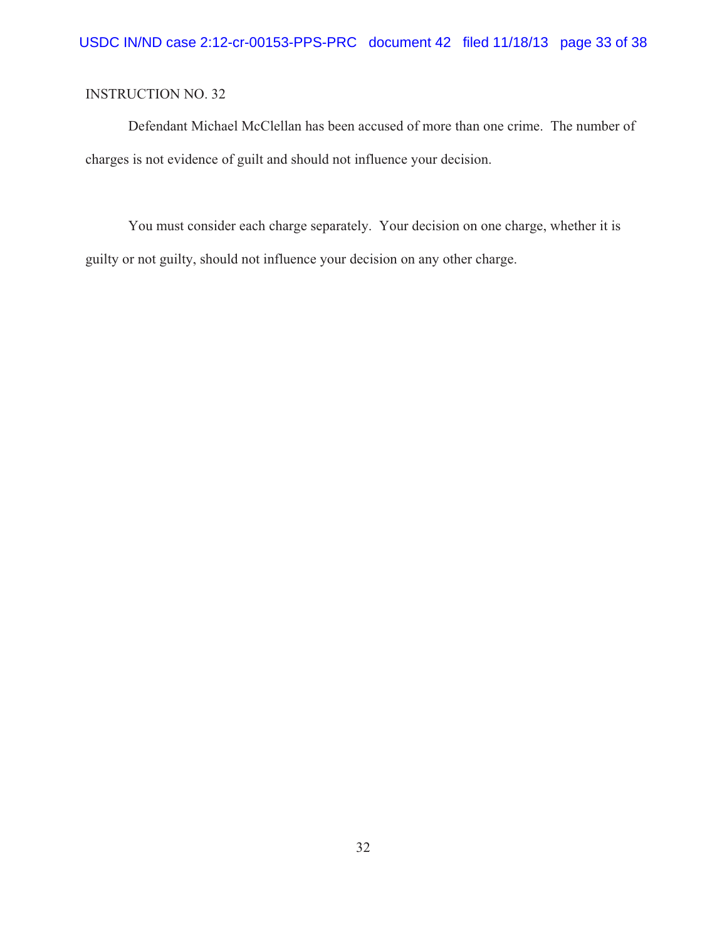Defendant Michael McClellan has been accused of more than one crime. The number of charges is not evidence of guilt and should not influence your decision.

You must consider each charge separately. Your decision on one charge, whether it is guilty or not guilty, should not influence your decision on any other charge.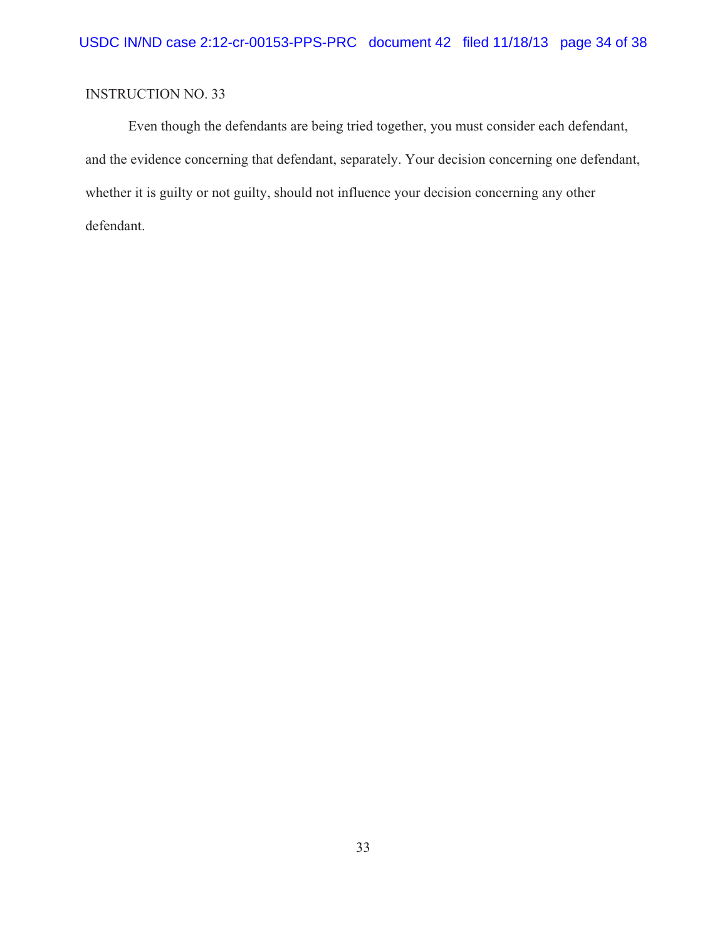Even though the defendants are being tried together, you must consider each defendant, and the evidence concerning that defendant, separately. Your decision concerning one defendant, whether it is guilty or not guilty, should not influence your decision concerning any other defendant.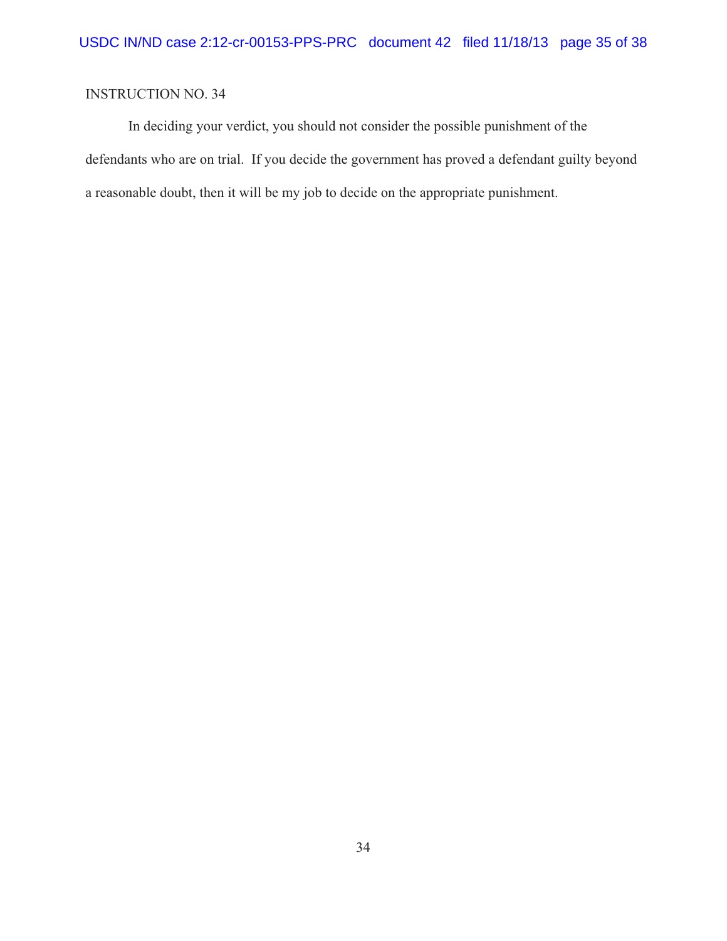In deciding your verdict, you should not consider the possible punishment of the defendants who are on trial. If you decide the government has proved a defendant guilty beyond a reasonable doubt, then it will be my job to decide on the appropriate punishment.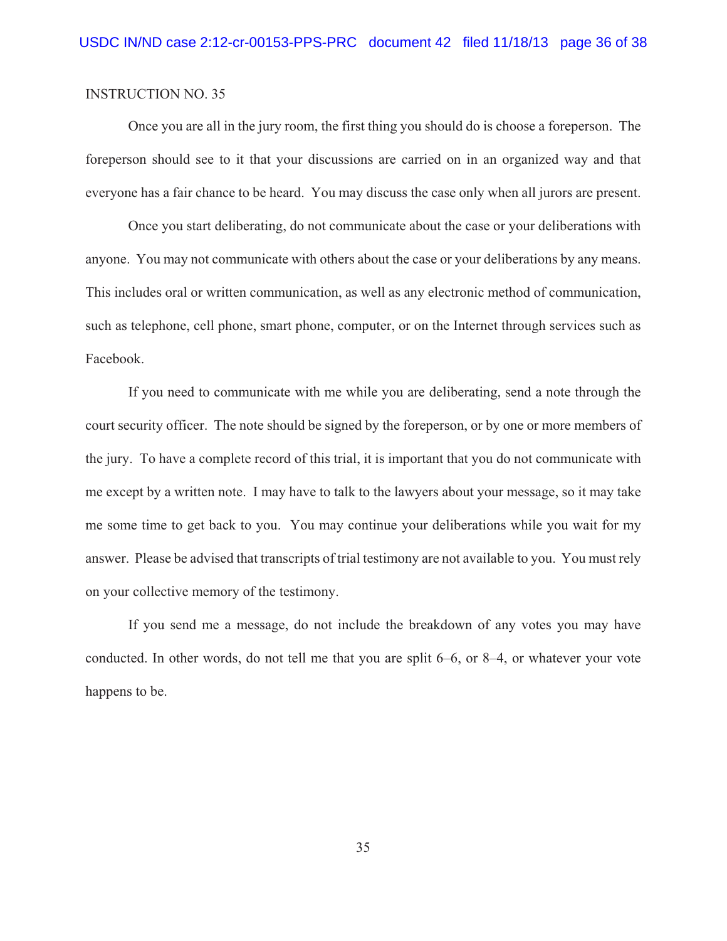Once you are all in the jury room, the first thing you should do is choose a foreperson. The foreperson should see to it that your discussions are carried on in an organized way and that everyone has a fair chance to be heard. You may discuss the case only when all jurors are present.

Once you start deliberating, do not communicate about the case or your deliberations with anyone. You may not communicate with others about the case or your deliberations by any means. This includes oral or written communication, as well as any electronic method of communication, such as telephone, cell phone, smart phone, computer, or on the Internet through services such as Facebook.

If you need to communicate with me while you are deliberating, send a note through the court security officer. The note should be signed by the foreperson, or by one or more members of the jury. To have a complete record of this trial, it is important that you do not communicate with me except by a written note. I may have to talk to the lawyers about your message, so it may take me some time to get back to you. You may continue your deliberations while you wait for my answer. Please be advised that transcripts of trial testimony are not available to you. You must rely on your collective memory of the testimony.

If you send me a message, do not include the breakdown of any votes you may have conducted. In other words, do not tell me that you are split 6–6, or 8–4, or whatever your vote happens to be.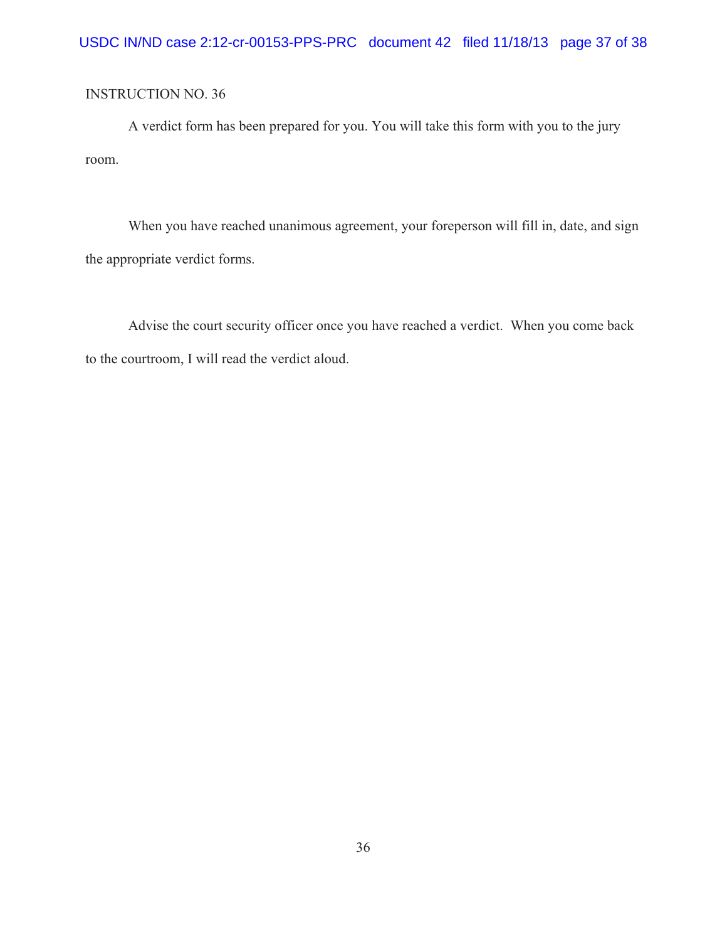A verdict form has been prepared for you. You will take this form with you to the jury room.

When you have reached unanimous agreement, your foreperson will fill in, date, and sign the appropriate verdict forms.

Advise the court security officer once you have reached a verdict. When you come back to the courtroom, I will read the verdict aloud.